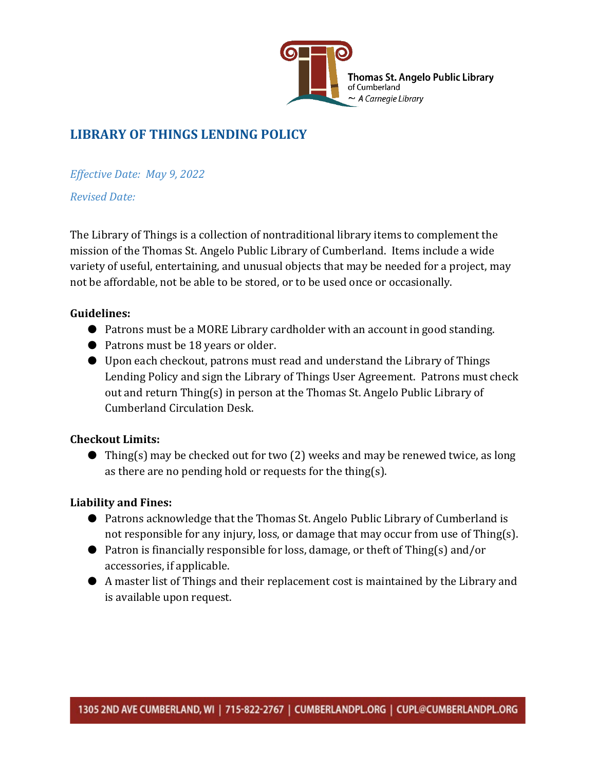

## **LIBRARY OF THINGS LENDING POLICY**

*Effective Date: May 9, 2022*

### *Revised Date:*

The Library of Things is a collection of nontraditional library items to complement the mission of the Thomas St. Angelo Public Library of Cumberland. Items include a wide variety of useful, entertaining, and unusual objects that may be needed for a project, may not be affordable, not be able to be stored, or to be used once or occasionally.

### **Guidelines:**

- Patrons must be a MORE Library cardholder with an account in good standing.
- Patrons must be 18 years or older.
- Upon each checkout, patrons must read and understand the Library of Things Lending Policy and sign the Library of Things User Agreement. Patrons must check out and return Thing(s) in person at the Thomas St. Angelo Public Library of Cumberland Circulation Desk.

### **Checkout Limits:**

 $\bullet$  Thing(s) may be checked out for two (2) weeks and may be renewed twice, as long as there are no pending hold or requests for the thing(s).

### **Liability and Fines:**

- Patrons acknowledge that the Thomas St. Angelo Public Library of Cumberland is not responsible for any injury, loss, or damage that may occur from use of Thing(s).
- Patron is financially responsible for loss, damage, or theft of Thing(s) and/or accessories, if applicable.
- A master list of Things and their replacement cost is maintained by the Library and is available upon request.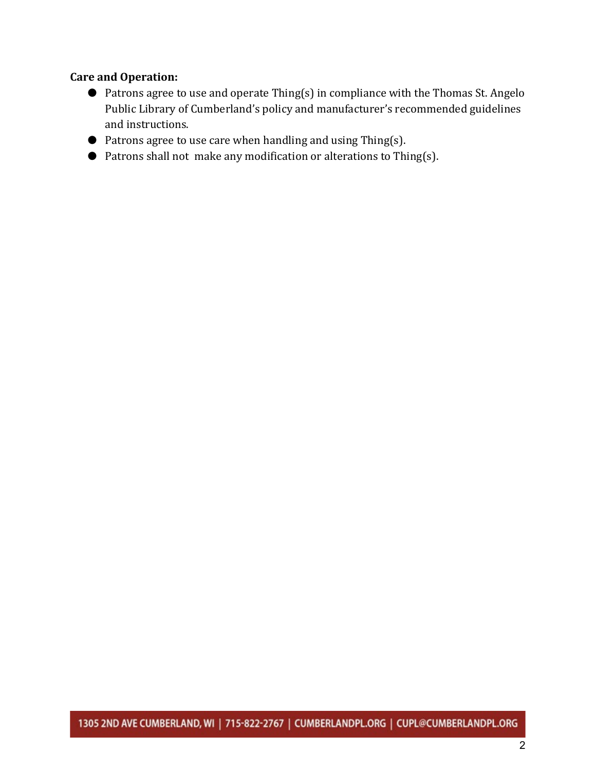#### **Care and Operation:**

- Patrons agree to use and operate Thing(s) in compliance with the Thomas St. Angelo Public Library of Cumberland's policy and manufacturer's recommended guidelines and instructions.
- $\bullet$  Patrons agree to use care when handling and using Thing(s).
- Patrons shall not make any modification or alterations to Thing(s).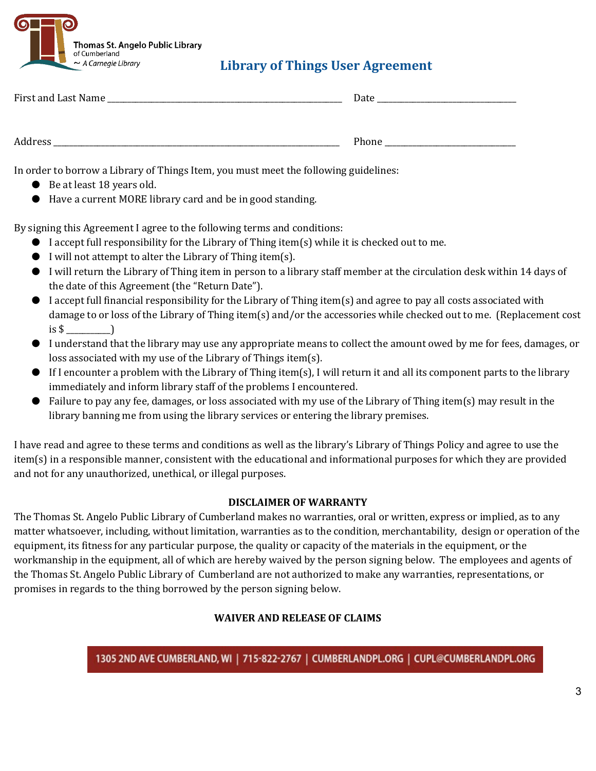

## **Library of Things User Agreement**

| First and Last Name | Date  |
|---------------------|-------|
|                     |       |
| Address             | Phone |

In order to borrow a Library of Things Item, you must meet the following guidelines:

- Be at least 18 years old.
- Have a current MORE library card and be in good standing.

By signing this Agreement I agree to the following terms and conditions:

- $\bullet$  I accept full responsibility for the Library of Thing item(s) while it is checked out to me.
- I will not attempt to alter the Library of Thing item(s).
- I will return the Library of Thing item in person to a library staff member at the circulation desk within 14 days of the date of this Agreement (the "Return Date").
- I accept full financial responsibility for the Library of Thing item(s) and agree to pay all costs associated with damage to or loss of the Library of Thing item(s) and/or the accessories while checked out to me. (Replacement cost is  $\frac{1}{2}$   $\frac{1}{2}$   $\frac{1}{2}$
- I understand that the library may use any appropriate means to collect the amount owed by me for fees, damages, or loss associated with my use of the Library of Things item(s).
- $\bullet$  If I encounter a problem with the Library of Thing item(s), I will return it and all its component parts to the library immediately and inform library staff of the problems I encountered.
- Failure to pay any fee, damages, or loss associated with my use of the Library of Thing item(s) may result in the library banning me from using the library services or entering the library premises.

I have read and agree to these terms and conditions as well as the library's Library of Things Policy and agree to use the item(s) in a responsible manner, consistent with the educational and informational purposes for which they are provided and not for any unauthorized, unethical, or illegal purposes.

### **DISCLAIMER OF WARRANTY**

The Thomas St. Angelo Public Library of Cumberland makes no warranties, oral or written, express or implied, as to any matter whatsoever, including, without limitation, warranties as to the condition, merchantability, design or operation of the equipment, its fitness for any particular purpose, the quality or capacity of the materials in the equipment, or the workmanship in the equipment, all of which are hereby waived by the person signing below. The employees and agents of the Thomas St. Angelo Public Library of Cumberland are not authorized to make any warranties, representations, or promises in regards to the thing borrowed by the person signing below.

### **WAIVER AND RELEASE OF CLAIMS**

1305 2ND AVE CUMBERLAND, WI | 715-822-2767 | CUMBERLANDPL.ORG | CUPL@CUMBERLANDPL.ORG